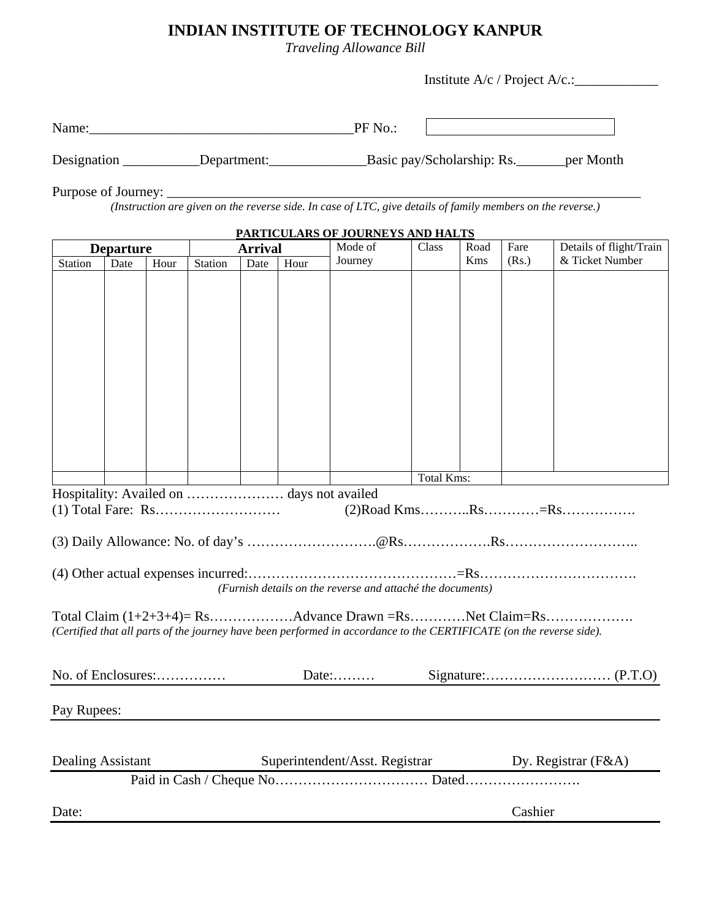## **INDIAN INSTITUTE OF TECHNOLOGY KANPUR**

*Traveling Allowance Bill* 

Institute A/c / Project A/c.:\_\_\_\_\_\_\_\_\_\_\_\_

|                          |      |      | Name: Name and the state of the state of the state of the state of the state of the state of the state of the state of the state of the state of the state of the state of the state of the state of the state of the state of |      |      | PF No.:                                                                                                                                                                            |                   |      |         |                                                    |  |
|--------------------------|------|------|--------------------------------------------------------------------------------------------------------------------------------------------------------------------------------------------------------------------------------|------|------|------------------------------------------------------------------------------------------------------------------------------------------------------------------------------------|-------------------|------|---------|----------------------------------------------------|--|
|                          |      |      |                                                                                                                                                                                                                                |      |      | Designation _____________Department:_________________________Basic pay/Scholarship: Rs. _________per Month                                                                         |                   |      |         |                                                    |  |
|                          |      |      |                                                                                                                                                                                                                                |      |      |                                                                                                                                                                                    |                   |      |         |                                                    |  |
| <b>Departure</b>         |      |      | PARTICULARS OF JOURNEYS AND HALTS<br><b>Arrival</b>                                                                                                                                                                            |      |      | Mode of                                                                                                                                                                            | Class             | Road | Fare    | Details of flight/Train                            |  |
| Station                  | Date | Hour | Station                                                                                                                                                                                                                        | Date | Hour | Journey                                                                                                                                                                            |                   | Kms  | (Rs.)   | & Ticket Number                                    |  |
|                          |      |      |                                                                                                                                                                                                                                |      |      |                                                                                                                                                                                    |                   |      |         |                                                    |  |
|                          |      |      |                                                                                                                                                                                                                                |      |      |                                                                                                                                                                                    |                   |      |         |                                                    |  |
|                          |      |      |                                                                                                                                                                                                                                |      |      | Hospitality: Availed on  days not availed                                                                                                                                          | <b>Total Kms:</b> |      |         |                                                    |  |
|                          |      |      |                                                                                                                                                                                                                                |      |      | (Furnish details on the reverse and attaché the documents)<br>(Certified that all parts of the journey have been performed in accordance to the CERTIFICATE (on the reverse side). |                   |      |         |                                                    |  |
|                          |      |      | No. of Enclosures:                                                                                                                                                                                                             |      |      |                                                                                                                                                                                    |                   |      |         |                                                    |  |
| Pay Rupees:              |      |      |                                                                                                                                                                                                                                |      |      | <u> 1980 - Jan Stein Stein Stein Stein Stein Stein Stein Stein Stein Stein Stein Stein Stein Stein Stein Stein S</u>                                                               |                   |      |         |                                                    |  |
| <b>Dealing Assistant</b> |      |      |                                                                                                                                                                                                                                |      |      |                                                                                                                                                                                    |                   |      |         | Superintendent/Asst. Registrar Dy. Registrar (F&A) |  |
|                          |      |      |                                                                                                                                                                                                                                |      |      |                                                                                                                                                                                    |                   |      |         |                                                    |  |
| Date:                    |      |      |                                                                                                                                                                                                                                |      |      |                                                                                                                                                                                    |                   |      | Cashier |                                                    |  |